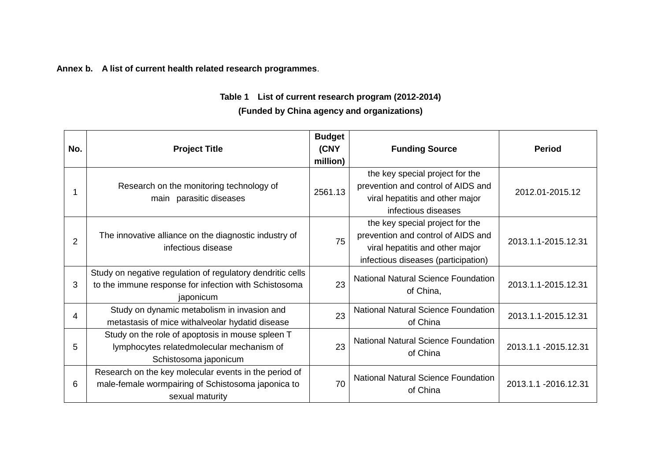**Annex b. A list of current health related research programmes**.

## **Table 1 List of current research program (2012-2014) (Funded by China agency and organizations)**

| No.            | <b>Project Title</b>                                                                                                             | <b>Budget</b><br>(CNY<br>million) | <b>Funding Source</b>                                                                                                                           | <b>Period</b>         |
|----------------|----------------------------------------------------------------------------------------------------------------------------------|-----------------------------------|-------------------------------------------------------------------------------------------------------------------------------------------------|-----------------------|
|                | Research on the monitoring technology of<br>main parasitic diseases                                                              | 2561.13                           | the key special project for the<br>prevention and control of AIDS and<br>viral hepatitis and other major<br>infectious diseases                 | 2012.01-2015.12       |
| $\overline{2}$ | The innovative alliance on the diagnostic industry of<br>infectious disease                                                      | 75                                | the key special project for the<br>prevention and control of AIDS and<br>viral hepatitis and other major<br>infectious diseases (participation) | 2013.1.1-2015.12.31   |
| 3              | Study on negative regulation of regulatory dendritic cells<br>to the immune response for infection with Schistosoma<br>japonicum | 23                                | <b>National Natural Science Foundation</b><br>of China,                                                                                         | 2013.1.1-2015.12.31   |
| 4              | Study on dynamic metabolism in invasion and<br>metastasis of mice withalveolar hydatid disease                                   | 23                                | <b>National Natural Science Foundation</b><br>of China                                                                                          | 2013.1.1-2015.12.31   |
| 5              | Study on the role of apoptosis in mouse spleen T<br>lymphocytes relatedmolecular mechanism of<br>Schistosoma japonicum           | 23                                | <b>National Natural Science Foundation</b><br>of China                                                                                          | 2013.1.1 - 2015.12.31 |
| 6              | Research on the key molecular events in the period of<br>male-female wormpairing of Schistosoma japonica to<br>sexual maturity   | 70                                | <b>National Natural Science Foundation</b><br>of China                                                                                          | 2013.1.1 -2016.12.31  |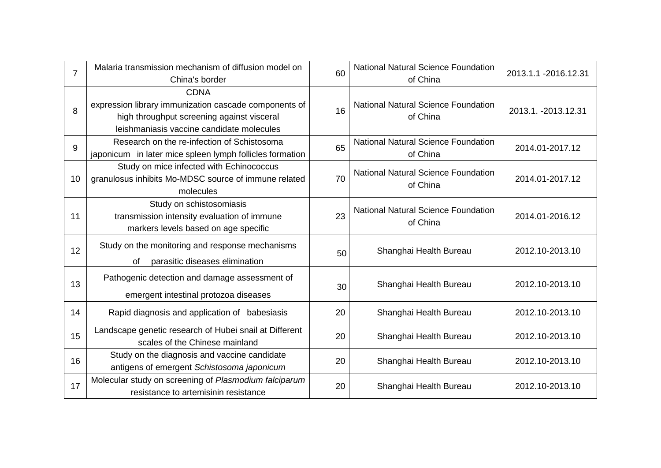| 7  | Malaria transmission mechanism of diffusion model on<br>China's border                                                                                          | 60 | <b>National Natural Science Foundation</b><br>of China | 2013.1.1 -2016.12.31 |
|----|-----------------------------------------------------------------------------------------------------------------------------------------------------------------|----|--------------------------------------------------------|----------------------|
| 8  | <b>CDNA</b><br>expression library immunization cascade components of<br>high throughput screening against visceral<br>leishmaniasis vaccine candidate molecules | 16 | <b>National Natural Science Foundation</b><br>of China | 2013.1. - 2013.12.31 |
| 9  | Research on the re-infection of Schistosoma<br>japonicum in later mice spleen lymph follicles formation                                                         | 65 | <b>National Natural Science Foundation</b><br>of China | 2014.01-2017.12      |
| 10 | Study on mice infected with Echinococcus<br>granulosus inhibits Mo-MDSC source of immune related<br>molecules                                                   | 70 | <b>National Natural Science Foundation</b><br>of China | 2014.01-2017.12      |
| 11 | Study on schistosomiasis<br>transmission intensity evaluation of immune<br>markers levels based on age specific                                                 | 23 | <b>National Natural Science Foundation</b><br>of China | 2014.01-2016.12      |
| 12 | Study on the monitoring and response mechanisms<br>parasitic diseases elimination<br>of                                                                         | 50 | Shanghai Health Bureau                                 | 2012.10-2013.10      |
| 13 | Pathogenic detection and damage assessment of<br>emergent intestinal protozoa diseases                                                                          | 30 | Shanghai Health Bureau                                 | 2012.10-2013.10      |
| 14 | Rapid diagnosis and application of babesiasis                                                                                                                   | 20 | Shanghai Health Bureau                                 | 2012.10-2013.10      |
| 15 | Landscape genetic research of Hubei snail at Different<br>scales of the Chinese mainland                                                                        | 20 | Shanghai Health Bureau                                 | 2012.10-2013.10      |
| 16 | Study on the diagnosis and vaccine candidate<br>antigens of emergent Schistosoma japonicum                                                                      | 20 | Shanghai Health Bureau                                 | 2012.10-2013.10      |
| 17 | Molecular study on screening of Plasmodium falciparum<br>resistance to artemisinin resistance                                                                   | 20 | Shanghai Health Bureau                                 | 2012.10-2013.10      |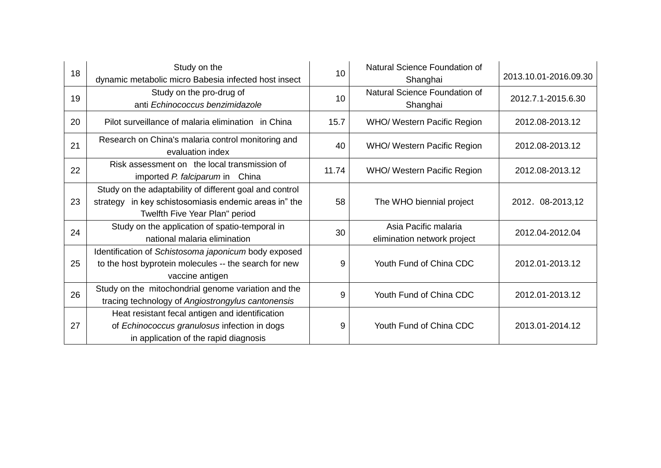| 18 | Study on the<br>dynamic metabolic micro Babesia infected host insect                                                                               | 10    | Natural Science Foundation of<br>Shanghai           | 2013.10.01-2016.09.30 |
|----|----------------------------------------------------------------------------------------------------------------------------------------------------|-------|-----------------------------------------------------|-----------------------|
| 19 | Study on the pro-drug of<br>anti Echinococcus benzimidazole                                                                                        | 10    | Natural Science Foundation of<br>Shanghai           | 2012.7.1-2015.6.30    |
| 20 | Pilot surveillance of malaria elimination in China                                                                                                 | 15.7  | WHO/ Western Pacific Region                         | 2012.08-2013.12       |
| 21 | Research on China's malaria control monitoring and<br>evaluation index                                                                             | 40    | WHO/ Western Pacific Region                         | 2012.08-2013.12       |
| 22 | Risk assessment on the local transmission of<br>imported P. falciparum in China                                                                    | 11.74 | WHO/ Western Pacific Region                         | 2012.08-2013.12       |
| 23 | Study on the adaptability of different goal and control<br>strategy in key schistosomiasis endemic areas in" the<br>Twelfth Five Year Plan" period | 58    | The WHO biennial project                            | 2012. 08-2013,12      |
| 24 | Study on the application of spatio-temporal in<br>national malaria elimination                                                                     | 30    | Asia Pacific malaria<br>elimination network project | 2012.04-2012.04       |
| 25 | Identification of Schistosoma japonicum body exposed<br>to the host byprotein molecules -- the search for new<br>vaccine antigen                   | 9     | Youth Fund of China CDC                             | 2012.01-2013.12       |
| 26 | Study on the mitochondrial genome variation and the<br>tracing technology of Angiostrongylus cantonensis                                           | 9     | Youth Fund of China CDC                             | 2012.01-2013.12       |
| 27 | Heat resistant fecal antigen and identification<br>of Echinococcus granulosus infection in dogs<br>in application of the rapid diagnosis           | 9     | Youth Fund of China CDC                             | 2013.01-2014.12       |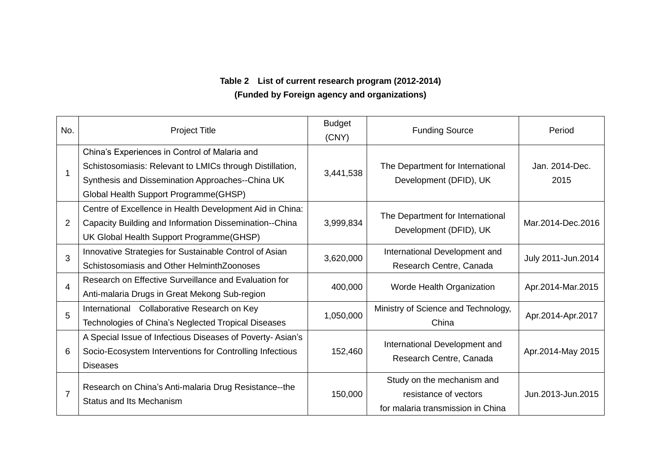## **Table 2 List of current research program (2012-2014) (Funded by Foreign agency and organizations)**

| No.            | <b>Project Title</b>                                                                                                                                                                                   | <b>Budget</b><br>(CNY) | <b>Funding Source</b>                                                                    | Period                 |
|----------------|--------------------------------------------------------------------------------------------------------------------------------------------------------------------------------------------------------|------------------------|------------------------------------------------------------------------------------------|------------------------|
|                | China's Experiences in Control of Malaria and<br>Schistosomiasis: Relevant to LMICs through Distillation,<br>Synthesis and Dissemination Approaches--China UK<br>Global Health Support Programme(GHSP) | 3,441,538              | The Department for International<br>Development (DFID), UK                               | Jan. 2014-Dec.<br>2015 |
| $\overline{2}$ | Centre of Excellence in Health Development Aid in China:<br>Capacity Building and Information Dissemination--China<br>UK Global Health Support Programme(GHSP)                                         | 3,999,834              | The Department for International<br>Development (DFID), UK                               | Mar.2014-Dec.2016      |
| 3              | Innovative Strategies for Sustainable Control of Asian<br>Schistosomiasis and Other Helminth Zoonoses                                                                                                  | 3,620,000              | International Development and<br>Research Centre, Canada                                 | July 2011-Jun.2014     |
| 4              | Research on Effective Surveillance and Evaluation for<br>Anti-malaria Drugs in Great Mekong Sub-region                                                                                                 | 400,000                | Worde Health Organization                                                                | Apr.2014-Mar.2015      |
| 5              | International Collaborative Research on Key<br>Technologies of China's Neglected Tropical Diseases                                                                                                     | 1,050,000              | Ministry of Science and Technology,<br>China                                             | Apr.2014-Apr.2017      |
| 6              | A Special Issue of Infectious Diseases of Poverty-Asian's<br>Socio-Ecosystem Interventions for Controlling Infectious<br><b>Diseases</b>                                                               | 152,460                | International Development and<br>Research Centre, Canada                                 | Apr.2014-May 2015      |
| $\overline{7}$ | Research on China's Anti-malaria Drug Resistance--the<br>Status and Its Mechanism                                                                                                                      | 150,000                | Study on the mechanism and<br>resistance of vectors<br>for malaria transmission in China | Jun.2013-Jun.2015      |